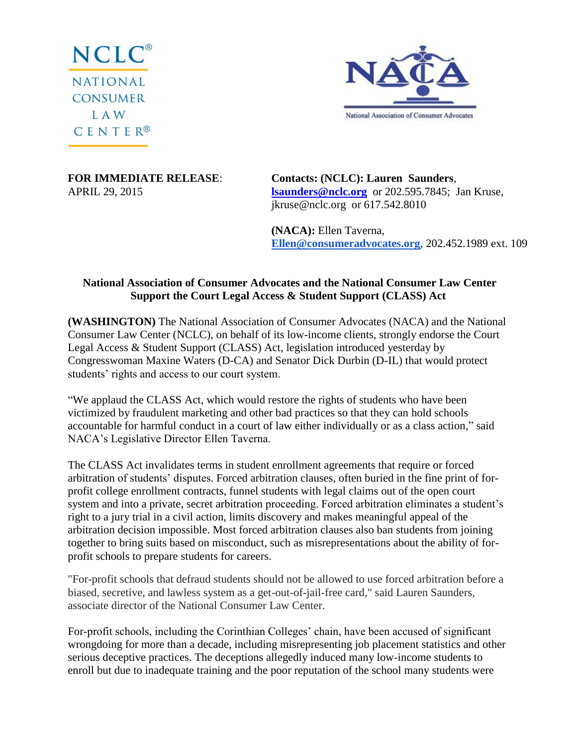



**FOR IMMEDIATE RELEASE**: **Contacts: (NCLC): Lauren Saunders**, APRIL 29, 2015 **[lsaunders@nclc.org](mailto:lsaunders@nclc.org)** or 202.595.7845; Jan Kruse, jkruse@nclc.org or 617.542.8010

> **(NACA):** Ellen Taverna, **[Ellen@consumeradvocates.org](mailto:ellen@consumeradvocates.org)**, 202.452.1989 ext. 109

## **National Association of Consumer Advocates and the National Consumer Law Center Support the Court Legal Access & Student Support (CLASS) Act**

**(WASHINGTON)** The National Association of Consumer Advocates (NACA) and the National Consumer Law Center (NCLC), on behalf of its low-income clients, strongly endorse the Court Legal Access & Student Support (CLASS) Act, legislation introduced yesterday by Congresswoman Maxine Waters (D-CA) and Senator Dick Durbin (D-IL) that would protect students' rights and access to our court system.

"We applaud the CLASS Act, which would restore the rights of students who have been victimized by fraudulent marketing and other bad practices so that they can hold schools accountable for harmful conduct in a court of law either individually or as a class action," said NACA's Legislative Director Ellen Taverna.

The CLASS Act invalidates terms in student enrollment agreements that require or forced arbitration of students' disputes. Forced arbitration clauses, often buried in the fine print of forprofit college enrollment contracts, funnel students with legal claims out of the open court system and into a private, secret arbitration proceeding. Forced arbitration eliminates a student's right to a jury trial in a civil action, limits discovery and makes meaningful appeal of the arbitration decision impossible. Most forced arbitration clauses also ban students from joining together to bring suits based on misconduct, such as misrepresentations about the ability of forprofit schools to prepare students for careers.

"For-profit schools that defraud students should not be allowed to use forced arbitration before a biased, secretive, and lawless system as a get-out-of-jail-free card," said Lauren Saunders, associate director of the National Consumer Law Center.

For-profit schools, including the Corinthian Colleges' chain, have been accused of significant wrongdoing for more than a decade, including misrepresenting job placement statistics and other serious deceptive practices. The deceptions allegedly induced many low-income students to enroll but due to inadequate training and the poor reputation of the school many students were